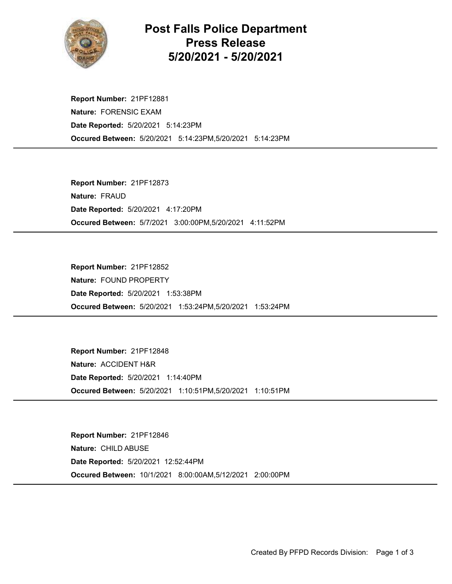

## Post Falls Police Department Press Release 5/20/2021 - 5/20/2021

Occured Between: 5/20/2021 5:14:23PM,5/20/2021 5:14:23PM Report Number: 21PF12881 Nature: FORENSIC EXAM Date Reported: 5/20/2021 5:14:23PM

Occured Between: 5/7/2021 3:00:00PM,5/20/2021 4:11:52PM Report Number: 21PF12873 Nature: FRAUD Date Reported: 5/20/2021 4:17:20PM

Occured Between: 5/20/2021 1:53:24PM,5/20/2021 1:53:24PM Report Number: 21PF12852 Nature: FOUND PROPERTY Date Reported: 5/20/2021 1:53:38PM

Occured Between: 5/20/2021 1:10:51PM,5/20/2021 1:10:51PM Report Number: 21PF12848 Nature: ACCIDENT H&R Date Reported: 5/20/2021 1:14:40PM

Occured Between: 10/1/2021 8:00:00AM,5/12/2021 2:00:00PM Report Number: 21PF12846 Nature: CHILD ABUSE Date Reported: 5/20/2021 12:52:44PM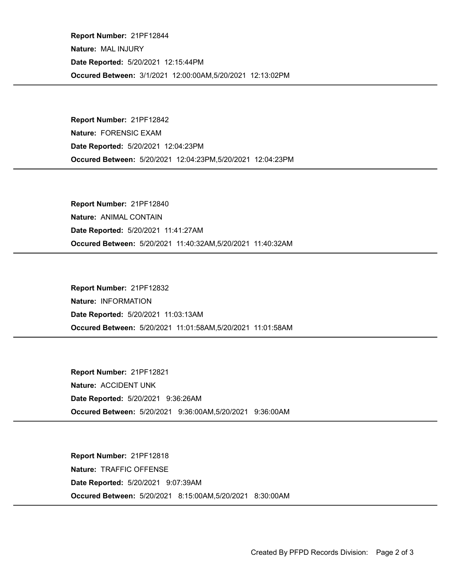Occured Between: 3/1/2021 12:00:00AM,5/20/2021 12:13:02PM Report Number: 21PF12844 Nature: MAL INJURY Date Reported: 5/20/2021 12:15:44PM

Occured Between: 5/20/2021 12:04:23PM,5/20/2021 12:04:23PM Report Number: 21PF12842 Nature: FORENSIC EXAM Date Reported: 5/20/2021 12:04:23PM

Occured Between: 5/20/2021 11:40:32AM,5/20/2021 11:40:32AM Report Number: 21PF12840 Nature: ANIMAL CONTAIN Date Reported: 5/20/2021 11:41:27AM

Occured Between: 5/20/2021 11:01:58AM,5/20/2021 11:01:58AM Report Number: 21PF12832 Nature: INFORMATION Date Reported: 5/20/2021 11:03:13AM

Occured Between: 5/20/2021 9:36:00AM,5/20/2021 9:36:00AM Report Number: 21PF12821 Nature: ACCIDENT UNK Date Reported: 5/20/2021 9:36:26AM

Occured Between: 5/20/2021 8:15:00AM,5/20/2021 8:30:00AM Report Number: 21PF12818 Nature: TRAFFIC OFFENSE Date Reported: 5/20/2021 9:07:39AM